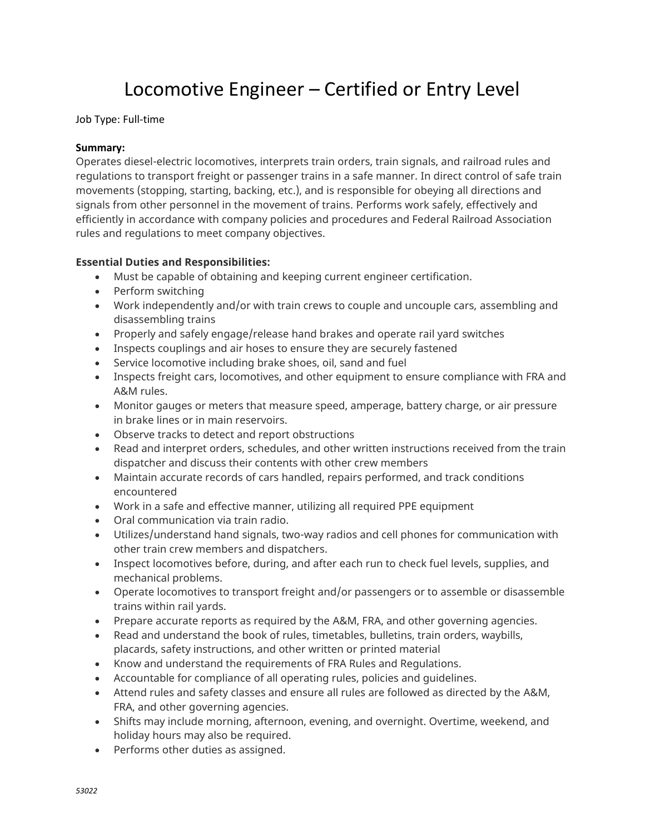# Locomotive Engineer – Certified or Entry Level

Job Type: Full-time

## **Summary:**

Operates diesel-electric locomotives, interprets train orders, train signals, and railroad rules and regulations to transport freight or passenger trains in a safe manner. In direct control of safe train movements (stopping, starting, backing, etc.), and is responsible for obeying all directions and signals from other personnel in the movement of trains. Performs work safely, effectively and efficiently in accordance with company policies and procedures and Federal Railroad Association rules and regulations to meet company objectives.

## **Essential Duties and Responsibilities:**

- Must be capable of obtaining and keeping current engineer certification.
- Perform switching
- Work independently and/or with train crews to couple and uncouple cars, assembling and disassembling trains
- Properly and safely engage/release hand brakes and operate rail yard switches
- Inspects couplings and air hoses to ensure they are securely fastened
- Service locomotive including brake shoes, oil, sand and fuel
- Inspects freight cars, locomotives, and other equipment to ensure compliance with FRA and A&M rules.
- Monitor gauges or meters that measure speed, amperage, battery charge, or air pressure in brake lines or in main reservoirs.
- Observe tracks to detect and report obstructions
- Read and interpret orders, schedules, and other written instructions received from the train dispatcher and discuss their contents with other crew members
- Maintain accurate records of cars handled, repairs performed, and track conditions encountered
- Work in a safe and effective manner, utilizing all required PPE equipment
- Oral communication via train radio.
- Utilizes/understand hand signals, two-way radios and cell phones for communication with other train crew members and dispatchers.
- Inspect locomotives before, during, and after each run to check fuel levels, supplies, and mechanical problems.
- Operate locomotives to transport freight and/or passengers or to assemble or disassemble trains within rail yards.
- Prepare accurate reports as required by the A&M, FRA, and other governing agencies.
- Read and understand the book of rules, timetables, bulletins, train orders, waybills, placards, safety instructions, and other written or printed material
- Know and understand the requirements of FRA Rules and Regulations.
- Accountable for compliance of all operating rules, policies and guidelines.
- Attend rules and safety classes and ensure all rules are followed as directed by the A&M, FRA, and other governing agencies.
- Shifts may include morning, afternoon, evening, and overnight. Overtime, weekend, and holiday hours may also be required.
- Performs other duties as assigned.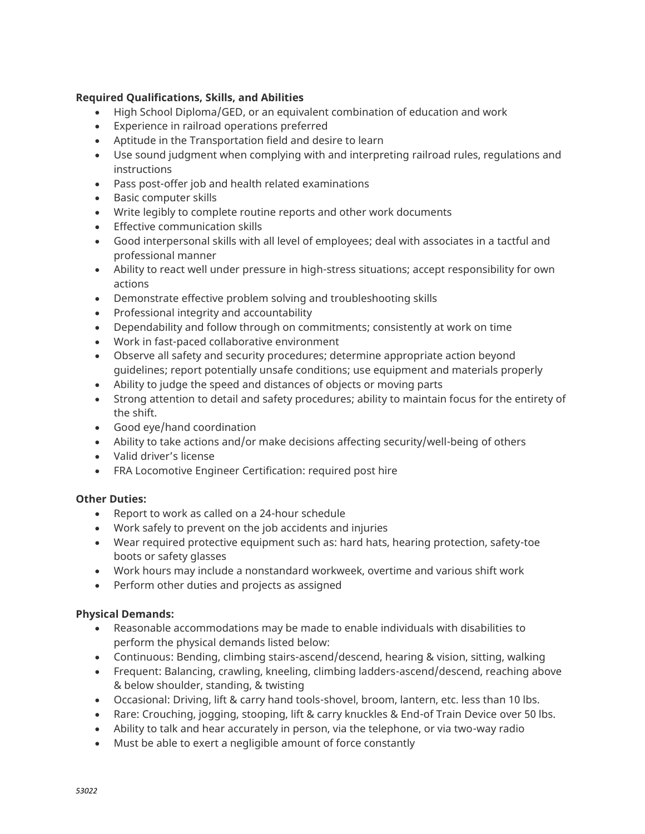# **Required Qualifications, Skills, and Abilities**

- High School Diploma/GED, or an equivalent combination of education and work
- Experience in railroad operations preferred
- Aptitude in the Transportation field and desire to learn
- Use sound judgment when complying with and interpreting railroad rules, regulations and instructions
- Pass post-offer job and health related examinations
- Basic computer skills
- Write legibly to complete routine reports and other work documents
- Effective communication skills
- Good interpersonal skills with all level of employees; deal with associates in a tactful and professional manner
- Ability to react well under pressure in high-stress situations; accept responsibility for own actions
- Demonstrate effective problem solving and troubleshooting skills
- Professional integrity and accountability
- Dependability and follow through on commitments; consistently at work on time
- Work in fast-paced collaborative environment
- Observe all safety and security procedures; determine appropriate action beyond guidelines; report potentially unsafe conditions; use equipment and materials properly
- Ability to judge the speed and distances of objects or moving parts
- Strong attention to detail and safety procedures; ability to maintain focus for the entirety of the shift.
- Good eye/hand coordination
- Ability to take actions and/or make decisions affecting security/well-being of others
- Valid driver's license
- FRA Locomotive Engineer Certification: required post hire

#### **Other Duties:**

- Report to work as called on a 24-hour schedule
- Work safely to prevent on the job accidents and injuries
- Wear required protective equipment such as: hard hats, hearing protection, safety-toe boots or safety glasses
- Work hours may include a nonstandard workweek, overtime and various shift work
- Perform other duties and projects as assigned

#### **Physical Demands:**

- Reasonable accommodations may be made to enable individuals with disabilities to perform the physical demands listed below:
- Continuous: Bending, climbing stairs-ascend/descend, hearing & vision, sitting, walking
- Frequent: Balancing, crawling, kneeling, climbing ladders-ascend/descend, reaching above & below shoulder, standing, & twisting
- Occasional: Driving, lift & carry hand tools-shovel, broom, lantern, etc. less than 10 lbs.
- Rare: Crouching, jogging, stooping, lift & carry knuckles & End-of Train Device over 50 lbs.
- Ability to talk and hear accurately in person, via the telephone, or via two-way radio
- Must be able to exert a negligible amount of force constantly